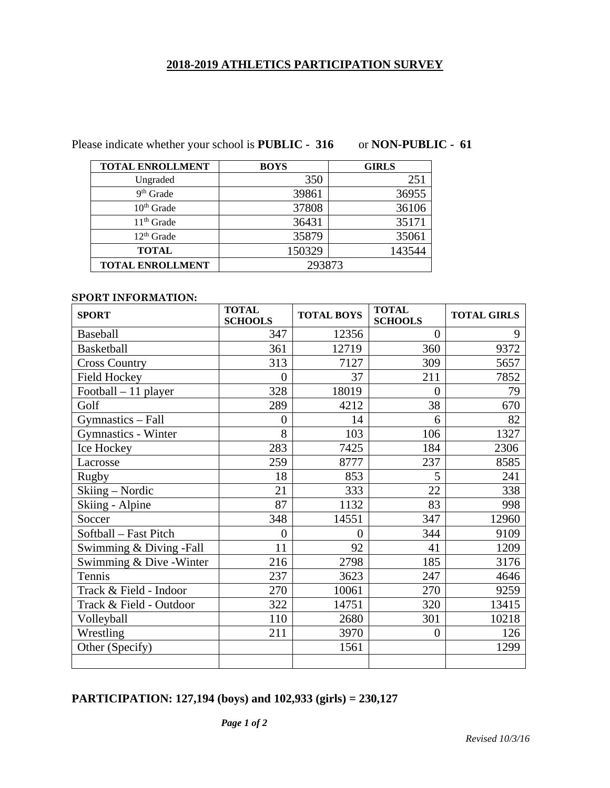## **2018-2019 ATHLETICS PARTICIPATION SURVEY**

Please indicate whether your school is **PUBLIC - 316** or **NON-PUBLIC - 61** 

| <b>TOTAL ENROLLMENT</b> | <b>BOYS</b> | <b>GIRLS</b> |
|-------------------------|-------------|--------------|
| Ungraded                | 350         | 251          |
| $9th$ Grade             | 39861       | 36955        |
| $10th$ Grade            | 37808       | 36106        |
| 11 <sup>th</sup> Grade  | 36431       | 35171        |
| 12 <sup>th</sup> Grade  | 35879       | 35061        |
| <b>TOTAL</b>            | 150329      | 143544       |
| <b>TOTAL ENROLLMENT</b> | 293873      |              |

## **SPORT INFORMATION:**

| <b>SPORT</b>               | <b>TOTAL</b><br><b>SCHOOLS</b> | <b>TOTAL BOYS</b> | <b>TOTAL</b><br><b>SCHOOLS</b> | <b>TOTAL GIRLS</b> |
|----------------------------|--------------------------------|-------------------|--------------------------------|--------------------|
| Baseball                   | 347                            | 12356             | $\theta$                       | 9                  |
| <b>Basketball</b>          | 361                            | 12719             | 360                            | 9372               |
| <b>Cross Country</b>       | 313                            | 7127              | 309                            | 5657               |
| <b>Field Hockey</b>        | $\theta$                       | 37                | 211                            | 7852               |
| Football - 11 player       | 328                            | 18019             | $\theta$                       | 79                 |
| Golf                       | 289                            | 4212              | 38                             | 670                |
| Gymnastics - Fall          | $\theta$                       | 14                | 6                              | 82                 |
| <b>Gymnastics - Winter</b> | 8                              | 103               | 106                            | 1327               |
| Ice Hockey                 | 283                            | 7425              | 184                            | 2306               |
| Lacrosse                   | 259                            | 8777              | 237                            | 8585               |
| <b>Rugby</b>               | 18                             | 853               | 5                              | 241                |
| Skiing - Nordic            | 21                             | 333               | 22                             | 338                |
| Skiing - Alpine            | 87                             | 1132              | 83                             | 998                |
| Soccer                     | 348                            | 14551             | 347                            | 12960              |
| Softball - Fast Pitch      | $\Omega$                       | 0                 | 344                            | 9109               |
| Swimming & Diving -Fall    | 11                             | 92                | 41                             | 1209               |
| Swimming & Dive - Winter   | 216                            | 2798              | 185                            | 3176               |
| Tennis                     | 237                            | 3623              | 247                            | 4646               |
| Track & Field - Indoor     | 270                            | 10061             | 270                            | 9259               |
| Track & Field - Outdoor    | 322                            | 14751             | 320                            | 13415              |
| Volleyball                 | 110                            | 2680              | 301                            | 10218              |
| Wrestling                  | 211                            | 3970              | $\overline{0}$                 | 126                |
| Other (Specify)            |                                | 1561              |                                | 1299               |
|                            |                                |                   |                                |                    |

# **PARTICIPATION: 127,194 (boys) and 102,933 (girls) = 230,127**